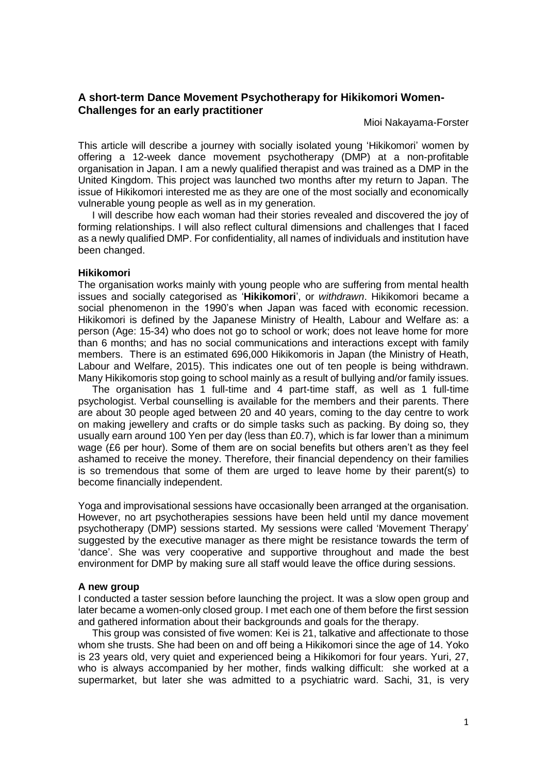# **A short-term Dance Movement Psychotherapy for Hikikomori Women-Challenges for an early practitioner**

Mioi Nakayama-Forster

This article will describe a journey with socially isolated young 'Hikikomori' women by offering a 12-week dance movement psychotherapy (DMP) at a non-profitable organisation in Japan. I am a newly qualified therapist and was trained as a DMP in the United Kingdom. This project was launched two months after my return to Japan. The issue of Hikikomori interested me as they are one of the most socially and economically vulnerable young people as well as in my generation.

 I will describe how each woman had their stories revealed and discovered the joy of forming relationships. I will also reflect cultural dimensions and challenges that I faced as a newly qualified DMP. For confidentiality, all names of individuals and institution have been changed.

#### **Hikikomori**

The organisation works mainly with young people who are suffering from mental health issues and socially categorised as '**Hikikomori**', or *withdrawn*. Hikikomori became a social phenomenon in the 1990's when Japan was faced with economic recession. Hikikomori is defined by the Japanese Ministry of Health, Labour and Welfare as: a person (Age: 15-34) who does not go to school or work; does not leave home for more than 6 months; and has no social communications and interactions except with family members. There is an estimated 696,000 Hikikomoris in Japan (the Ministry of Heath, Labour and Welfare, 2015). This indicates one out of ten people is being withdrawn. Many Hikikomoris stop going to school mainly as a result of bullying and/or family issues.

 The organisation has 1 full-time and 4 part-time staff, as well as 1 full-time psychologist. Verbal counselling is available for the members and their parents. There are about 30 people aged between 20 and 40 years, coming to the day centre to work on making jewellery and crafts or do simple tasks such as packing. By doing so, they usually earn around 100 Yen per day (less than £0.7), which is far lower than a minimum wage (£6 per hour). Some of them are on social benefits but others aren't as they feel ashamed to receive the money. Therefore, their financial dependency on their families is so tremendous that some of them are urged to leave home by their parent(s) to become financially independent.

Yoga and improvisational sessions have occasionally been arranged at the organisation. However, no art psychotherapies sessions have been held until my dance movement psychotherapy (DMP) sessions started. My sessions were called 'Movement Therapy' suggested by the executive manager as there might be resistance towards the term of 'dance'. She was very cooperative and supportive throughout and made the best environment for DMP by making sure all staff would leave the office during sessions.

### **A new group**

I conducted a taster session before launching the project. It was a slow open group and later became a women-only closed group. I met each one of them before the first session and gathered information about their backgrounds and goals for the therapy.

 This group was consisted of five women: Kei is 21, talkative and affectionate to those whom she trusts. She had been on and off being a Hikikomori since the age of 14. Yoko is 23 years old, very quiet and experienced being a Hikikomori for four years. Yuri, 27, who is always accompanied by her mother, finds walking difficult: she worked at a supermarket, but later she was admitted to a psychiatric ward. Sachi, 31, is very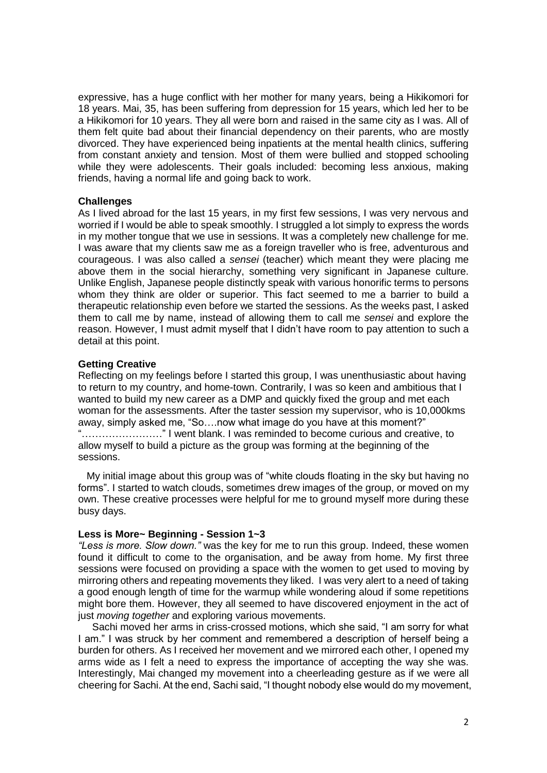expressive, has a huge conflict with her mother for many years, being a Hikikomori for 18 years. Mai, 35, has been suffering from depression for 15 years, which led her to be a Hikikomori for 10 years. They all were born and raised in the same city as I was. All of them felt quite bad about their financial dependency on their parents, who are mostly divorced. They have experienced being inpatients at the mental health clinics, suffering from constant anxiety and tension. Most of them were bullied and stopped schooling while they were adolescents. Their goals included: becoming less anxious, making friends, having a normal life and going back to work.

### **Challenges**

As I lived abroad for the last 15 years, in my first few sessions, I was very nervous and worried if I would be able to speak smoothly. I struggled a lot simply to express the words in my mother tongue that we use in sessions. It was a completely new challenge for me. I was aware that my clients saw me as a foreign traveller who is free, adventurous and courageous. I was also called a *sensei* (teacher) which meant they were placing me above them in the social hierarchy, something very significant in Japanese culture. Unlike English, Japanese people distinctly speak with various honorific terms to persons whom they think are older or superior. This fact seemed to me a barrier to build a therapeutic relationship even before we started the sessions. As the weeks past, I asked them to call me by name, instead of allowing them to call me *sensei* and explore the reason. However, I must admit myself that I didn't have room to pay attention to such a detail at this point.

## **Getting Creative**

Reflecting on my feelings before I started this group, I was unenthusiastic about having to return to my country, and home-town. Contrarily, I was so keen and ambitious that I wanted to build my new career as a DMP and quickly fixed the group and met each woman for the assessments. After the taster session my supervisor, who is 10,000kms away, simply asked me, "So….now what image do you have at this moment?" "……………………" I went blank. I was reminded to become curious and creative, to allow myself to build a picture as the group was forming at the beginning of the sessions.

 My initial image about this group was of "white clouds floating in the sky but having no forms". I started to watch clouds, sometimes drew images of the group, or moved on my own. These creative processes were helpful for me to ground myself more during these busy days.

## **Less is More~ Beginning - Session 1~3**

*"Less is more. Slow down."* was the key for me to run this group. Indeed, these women found it difficult to come to the organisation, and be away from home. My first three sessions were focused on providing a space with the women to get used to moving by mirroring others and repeating movements they liked. I was very alert to a need of taking a good enough length of time for the warmup while wondering aloud if some repetitions might bore them. However, they all seemed to have discovered enjoyment in the act of just *moving together* and exploring various movements.

 Sachi moved her arms in criss-crossed motions, which she said, "I am sorry for what I am." I was struck by her comment and remembered a description of herself being a burden for others. As I received her movement and we mirrored each other, I opened my arms wide as I felt a need to express the importance of accepting the way she was. Interestingly, Mai changed my movement into a cheerleading gesture as if we were all cheering for Sachi. At the end, Sachi said, "I thought nobody else would do my movement,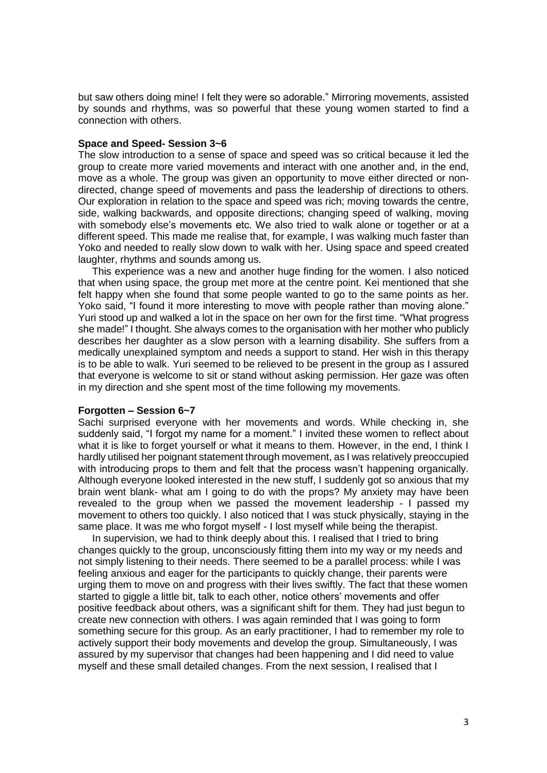but saw others doing mine! I felt they were so adorable." Mirroring movements, assisted by sounds and rhythms, was so powerful that these young women started to find a connection with others.

### **Space and Speed- Session 3~6**

The slow introduction to a sense of space and speed was so critical because it led the group to create more varied movements and interact with one another and, in the end, move as a whole. The group was given an opportunity to move either directed or nondirected, change speed of movements and pass the leadership of directions to others. Our exploration in relation to the space and speed was rich; moving towards the centre, side, walking backwards, and opposite directions; changing speed of walking, moving with somebody else's movements etc. We also tried to walk alone or together or at a different speed. This made me realise that, for example, I was walking much faster than Yoko and needed to really slow down to walk with her. Using space and speed created laughter, rhythms and sounds among us.

 This experience was a new and another huge finding for the women. I also noticed that when using space, the group met more at the centre point. Kei mentioned that she felt happy when she found that some people wanted to go to the same points as her. Yoko said, "I found it more interesting to move with people rather than moving alone." Yuri stood up and walked a lot in the space on her own for the first time. "What progress she made!" I thought. She always comes to the organisation with her mother who publicly describes her daughter as a slow person with a learning disability. She suffers from a medically unexplained symptom and needs a support to stand. Her wish in this therapy is to be able to walk. Yuri seemed to be relieved to be present in the group as I assured that everyone is welcome to sit or stand without asking permission. Her gaze was often in my direction and she spent most of the time following my movements.

### **Forgotten – Session 6~7**

Sachi surprised everyone with her movements and words. While checking in, she suddenly said, "I forgot my name for a moment." I invited these women to reflect about what it is like to forget yourself or what it means to them. However, in the end, I think I hardly utilised her poignant statement through movement, as I was relatively preoccupied with introducing props to them and felt that the process wasn't happening organically. Although everyone looked interested in the new stuff, I suddenly got so anxious that my brain went blank- what am I going to do with the props? My anxiety may have been revealed to the group when we passed the movement leadership - I passed my movement to others too quickly. I also noticed that I was stuck physically, staying in the same place. It was me who forgot myself - I lost myself while being the therapist.

 In supervision, we had to think deeply about this. I realised that I tried to bring changes quickly to the group, unconsciously fitting them into my way or my needs and not simply listening to their needs. There seemed to be a parallel process: while I was feeling anxious and eager for the participants to quickly change, their parents were urging them to move on and progress with their lives swiftly. The fact that these women started to giggle a little bit, talk to each other, notice others' movements and offer positive feedback about others, was a significant shift for them. They had just begun to create new connection with others. I was again reminded that I was going to form something secure for this group. As an early practitioner, I had to remember my role to actively support their body movements and develop the group. Simultaneously, I was assured by my supervisor that changes had been happening and I did need to value myself and these small detailed changes. From the next session, I realised that I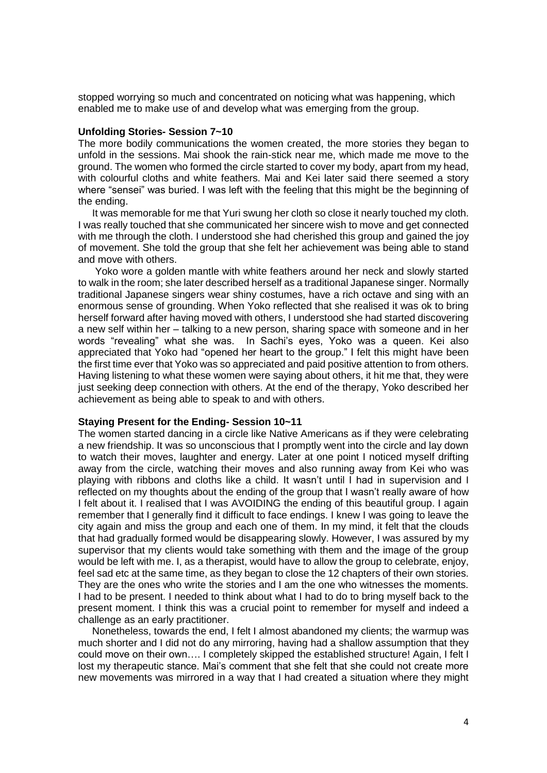stopped worrying so much and concentrated on noticing what was happening, which enabled me to make use of and develop what was emerging from the group.

### **Unfolding Stories- Session 7~10**

The more bodily communications the women created, the more stories they began to unfold in the sessions. Mai shook the rain-stick near me, which made me move to the ground. The women who formed the circle started to cover my body, apart from my head, with colourful cloths and white feathers. Mai and Kei later said there seemed a story where "sensei" was buried. I was left with the feeling that this might be the beginning of the ending.

 It was memorable for me that Yuri swung her cloth so close it nearly touched my cloth. I was really touched that she communicated her sincere wish to move and get connected with me through the cloth. I understood she had cherished this group and gained the joy of movement. She told the group that she felt her achievement was being able to stand and move with others.

 Yoko wore a golden mantle with white feathers around her neck and slowly started to walk in the room; she later described herself as a traditional Japanese singer. Normally traditional Japanese singers wear shiny costumes, have a rich octave and sing with an enormous sense of grounding. When Yoko reflected that she realised it was ok to bring herself forward after having moved with others, I understood she had started discovering a new self within her – talking to a new person, sharing space with someone and in her words "revealing" what she was. In Sachi's eyes, Yoko was a queen. Kei also appreciated that Yoko had "opened her heart to the group." I felt this might have been the first time ever that Yoko was so appreciated and paid positive attention to from others. Having listening to what these women were saying about others, it hit me that, they were just seeking deep connection with others. At the end of the therapy, Yoko described her achievement as being able to speak to and with others.

#### **Staying Present for the Ending- Session 10~11**

The women started dancing in a circle like Native Americans as if they were celebrating a new friendship. It was so unconscious that I promptly went into the circle and lay down to watch their moves, laughter and energy. Later at one point I noticed myself drifting away from the circle, watching their moves and also running away from Kei who was playing with ribbons and cloths like a child. It wasn't until I had in supervision and I reflected on my thoughts about the ending of the group that I wasn't really aware of how I felt about it. I realised that I was AVOIDING the ending of this beautiful group. I again remember that I generally find it difficult to face endings. I knew I was going to leave the city again and miss the group and each one of them. In my mind, it felt that the clouds that had gradually formed would be disappearing slowly. However, I was assured by my supervisor that my clients would take something with them and the image of the group would be left with me. I, as a therapist, would have to allow the group to celebrate, enjoy, feel sad etc at the same time, as they began to close the 12 chapters of their own stories. They are the ones who write the stories and I am the one who witnesses the moments. I had to be present. I needed to think about what I had to do to bring myself back to the present moment. I think this was a crucial point to remember for myself and indeed a challenge as an early practitioner.

 Nonetheless, towards the end, I felt I almost abandoned my clients; the warmup was much shorter and I did not do any mirroring, having had a shallow assumption that they could move on their own…. I completely skipped the established structure! Again, I felt I lost my therapeutic stance. Mai's comment that she felt that she could not create more new movements was mirrored in a way that I had created a situation where they might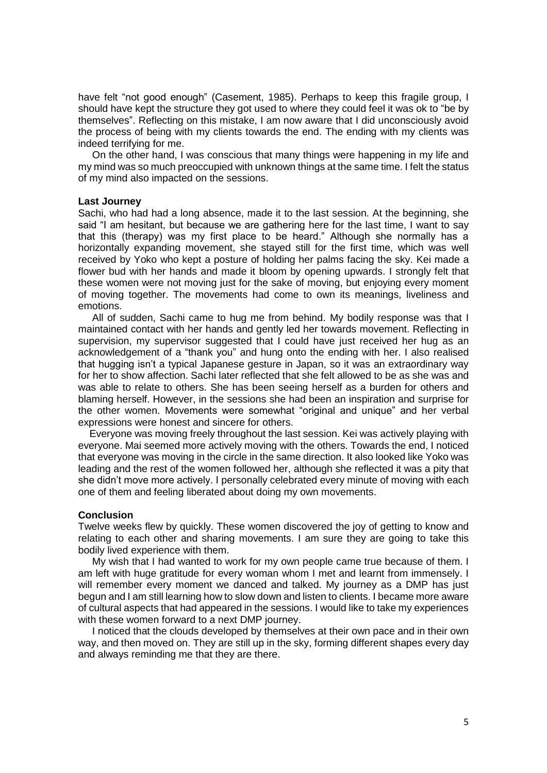have felt "not good enough" (Casement, 1985). Perhaps to keep this fragile group, I should have kept the structure they got used to where they could feel it was ok to "be by themselves". Reflecting on this mistake, I am now aware that I did unconsciously avoid the process of being with my clients towards the end. The ending with my clients was indeed terrifying for me.

 On the other hand, I was conscious that many things were happening in my life and my mind was so much preoccupied with unknown things at the same time. I felt the status of my mind also impacted on the sessions.

#### **Last Journey**

Sachi, who had had a long absence, made it to the last session. At the beginning, she said "I am hesitant, but because we are gathering here for the last time, I want to say that this (therapy) was my first place to be heard." Although she normally has a horizontally expanding movement, she stayed still for the first time, which was well received by Yoko who kept a posture of holding her palms facing the sky. Kei made a flower bud with her hands and made it bloom by opening upwards. I strongly felt that these women were not moving just for the sake of moving, but enjoying every moment of moving together. The movements had come to own its meanings, liveliness and emotions.

 All of sudden, Sachi came to hug me from behind. My bodily response was that I maintained contact with her hands and gently led her towards movement. Reflecting in supervision, my supervisor suggested that I could have just received her hug as an acknowledgement of a "thank you" and hung onto the ending with her. I also realised that hugging isn't a typical Japanese gesture in Japan, so it was an extraordinary way for her to show affection. Sachi later reflected that she felt allowed to be as she was and was able to relate to others. She has been seeing herself as a burden for others and blaming herself. However, in the sessions she had been an inspiration and surprise for the other women. Movements were somewhat "original and unique" and her verbal expressions were honest and sincere for others.

 Everyone was moving freely throughout the last session. Kei was actively playing with everyone. Mai seemed more actively moving with the others. Towards the end, I noticed that everyone was moving in the circle in the same direction. It also looked like Yoko was leading and the rest of the women followed her, although she reflected it was a pity that she didn't move more actively. I personally celebrated every minute of moving with each one of them and feeling liberated about doing my own movements.

### **Conclusion**

Twelve weeks flew by quickly. These women discovered the joy of getting to know and relating to each other and sharing movements. I am sure they are going to take this bodily lived experience with them.

 My wish that I had wanted to work for my own people came true because of them. I am left with huge gratitude for every woman whom I met and learnt from immensely. I will remember every moment we danced and talked. My journey as a DMP has just begun and I am still learning how to slow down and listen to clients. I became more aware of cultural aspects that had appeared in the sessions. I would like to take my experiences with these women forward to a next DMP journey.

 I noticed that the clouds developed by themselves at their own pace and in their own way, and then moved on. They are still up in the sky, forming different shapes every day and always reminding me that they are there.